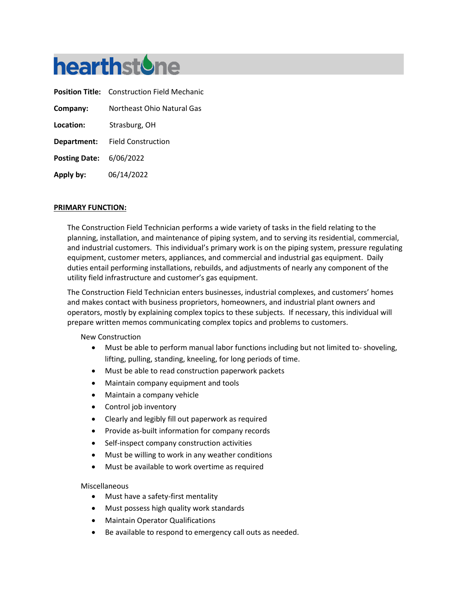

**Position Title:** Construction Field Mechanic **Company:** Northeast Ohio Natural Gas **Location:** Strasburg, OH **Department:** Field Construction **Posting Date:** 6/06/2022 **Apply by:** 06/14/2022

#### **PRIMARY FUNCTION:**

The Construction Field Technician performs a wide variety of tasks in the field relating to the planning, installation, and maintenance of piping system, and to serving its residential, commercial, and industrial customers. This individual's primary work is on the piping system, pressure regulating equipment, customer meters, appliances, and commercial and industrial gas equipment. Daily duties entail performing installations, rebuilds, and adjustments of nearly any component of the utility field infrastructure and customer's gas equipment.

The Construction Field Technician enters businesses, industrial complexes, and customers' homes and makes contact with business proprietors, homeowners, and industrial plant owners and operators, mostly by explaining complex topics to these subjects. If necessary, this individual will prepare written memos communicating complex topics and problems to customers.

New Construction

- Must be able to perform manual labor functions including but not limited to- shoveling, lifting, pulling, standing, kneeling, for long periods of time.
- Must be able to read construction paperwork packets
- Maintain company equipment and tools
- Maintain a company vehicle
- Control job inventory
- Clearly and legibly fill out paperwork as required
- Provide as-built information for company records
- Self-inspect company construction activities
- Must be willing to work in any weather conditions
- Must be available to work overtime as required

#### Miscellaneous

- Must have a safety-first mentality
- Must possess high quality work standards
- Maintain Operator Qualifications
- Be available to respond to emergency call outs as needed.